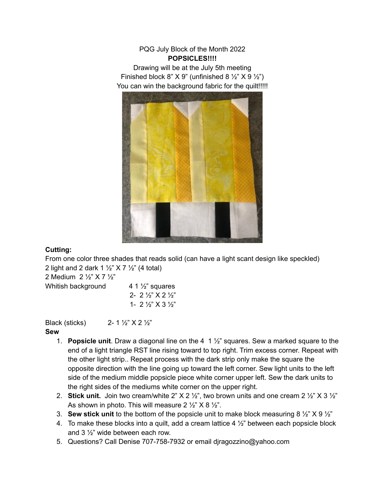## PQG July Block of the Month 2022 **POPSICLES!!!!**

Drawing will be at the July 5th meeting Finished block 8"  $X$  9" (unfinished 8  $\frac{1}{2}$ " $X$  9  $\frac{1}{2}$ ") You can win the background fabric for the quilt!!!!!



## **Cutting:**

From one color three shades that reads solid (can have a light scant design like speckled) 2 light and 2 dark 1  $\frac{1}{2}$  X 7  $\frac{1}{2}$  (4 total)

2 Medium 2 ½" X 7 ½"

| Whitish background | 4 1 $\frac{1}{2}$ squares                   |
|--------------------|---------------------------------------------|
|                    | 2- 2 $\frac{1}{2}$ X 2 $\frac{1}{2}$        |
|                    | 1- 2 $\frac{1}{2}$ $\times$ 3 $\frac{1}{2}$ |

Black (sticks)  $2 - 1 \frac{1}{2}$   $\times$  2  $\frac{1}{2}$ "

## **Sew**

- 1. **Popsicle unit**. Draw a diagonal line on the 4 1 ½" squares. Sew a marked square to the end of a light triangle RST line rising toward to top right. Trim excess corner. Repeat with the other light strip.. Repeat process with the dark strip only make the square the opposite direction with the line going up toward the left corner. Sew light units to the left side of the medium middle popsicle piece white corner upper left. Sew the dark units to the right sides of the mediums white corner on the upper right.
- 2. **Stick unit.** Join two cream/white 2" X 2 ½", two brown units and one cream 2 ½" X 3 ½" As shown in photo. This will measure  $2 \frac{1}{2}$   $\times$   $8 \frac{1}{2}$ .
- 3. **Sew stick unit** to the bottom of the popsicle unit to make block measuring 8 ½" X 9 ½"
- 4. To make these blocks into a quilt, add a cream lattice  $4\frac{1}{2}$ " between each popsicle block and 3 ½" wide between each row.
- 5. Questions? Call Denise 707-758-7932 or email djragozzino@yahoo.com